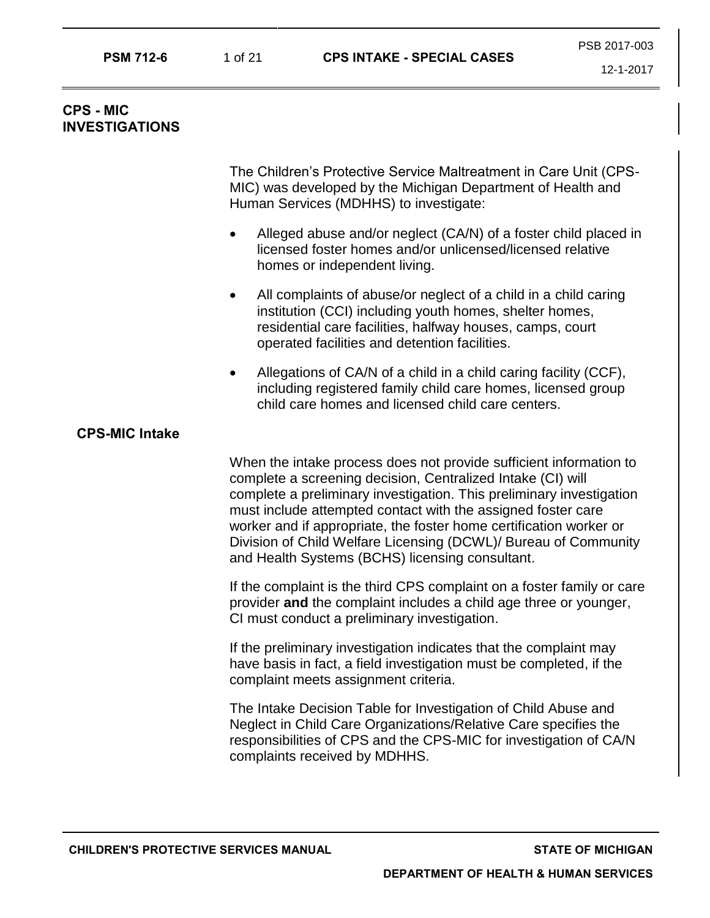# **CPS - MIC INVESTIGATIONS**

The Children's Protective Service Maltreatment in Care Unit (CPS-MIC) was developed by the Michigan Department of Health and Human Services (MDHHS) to investigate:

- Alleged abuse and/or neglect (CA/N) of a foster child placed in licensed foster homes and/or unlicensed/licensed relative homes or independent living.
- All complaints of abuse/or neglect of a child in a child caring institution (CCI) including youth homes, shelter homes, residential care facilities, halfway houses, camps, court operated facilities and detention facilities.
- Allegations of CA/N of a child in a child caring facility (CCF), including registered family child care homes, licensed group child care homes and licensed child care centers.

# **CPS-MIC Intake**

When the intake process does not provide sufficient information to complete a screening decision, Centralized Intake (CI) will complete a preliminary investigation. This preliminary investigation must include attempted contact with the assigned foster care worker and if appropriate, the foster home certification worker or Division of Child Welfare Licensing (DCWL)/ Bureau of Community and Health Systems (BCHS) licensing consultant.

If the complaint is the third CPS complaint on a foster family or care provider **and** the complaint includes a child age three or younger, CI must conduct a preliminary investigation.

If the preliminary investigation indicates that the complaint may have basis in fact, a field investigation must be completed, if the complaint meets assignment criteria.

The Intake Decision Table for Investigation of Child Abuse and Neglect in Child Care Organizations/Relative Care specifies the responsibilities of CPS and the CPS-MIC for investigation of CA/N complaints received by MDHHS.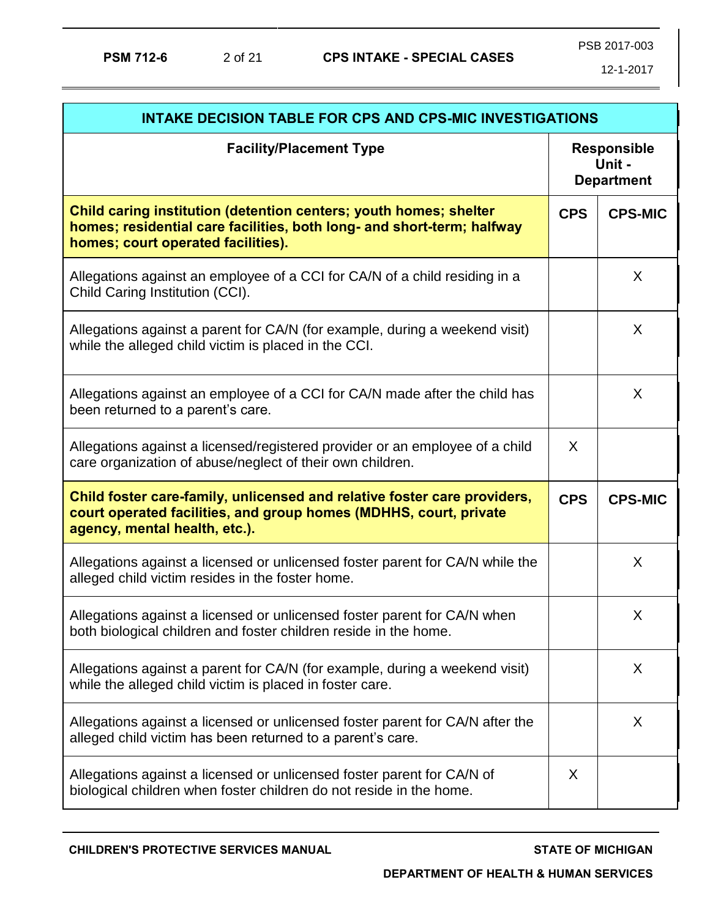| <b>INTAKE DECISION TABLE FOR CPS AND CPS-MIC INVESTIGATIONS</b>                                                                                                                   |                                                   |                |  |
|-----------------------------------------------------------------------------------------------------------------------------------------------------------------------------------|---------------------------------------------------|----------------|--|
| <b>Facility/Placement Type</b>                                                                                                                                                    | <b>Responsible</b><br>Unit -<br><b>Department</b> |                |  |
| Child caring institution (detention centers; youth homes; shelter<br>homes; residential care facilities, both long- and short-term; halfway<br>homes; court operated facilities). | <b>CPS</b>                                        | <b>CPS-MIC</b> |  |
| Allegations against an employee of a CCI for CA/N of a child residing in a<br>Child Caring Institution (CCI).                                                                     |                                                   | X              |  |
| Allegations against a parent for CA/N (for example, during a weekend visit)<br>while the alleged child victim is placed in the CCI.                                               |                                                   | X              |  |
| Allegations against an employee of a CCI for CA/N made after the child has<br>been returned to a parent's care.                                                                   |                                                   | X              |  |
| Allegations against a licensed/registered provider or an employee of a child<br>care organization of abuse/neglect of their own children.                                         | X                                                 |                |  |
| Child foster care-family, unlicensed and relative foster care providers,<br>court operated facilities, and group homes (MDHHS, court, private<br>agency, mental health, etc.).    | <b>CPS</b>                                        | <b>CPS-MIC</b> |  |
| Allegations against a licensed or unlicensed foster parent for CA/N while the<br>alleged child victim resides in the foster home.                                                 |                                                   | X              |  |
| Allegations against a licensed or unlicensed foster parent for CA/N when<br>both biological children and foster children reside in the home.                                      |                                                   | X              |  |
| Allegations against a parent for CA/N (for example, during a weekend visit)<br>while the alleged child victim is placed in foster care.                                           |                                                   | X              |  |
| Allegations against a licensed or unlicensed foster parent for CA/N after the<br>alleged child victim has been returned to a parent's care.                                       |                                                   | X              |  |
| Allegations against a licensed or unlicensed foster parent for CA/N of<br>biological children when foster children do not reside in the home.                                     | X                                                 |                |  |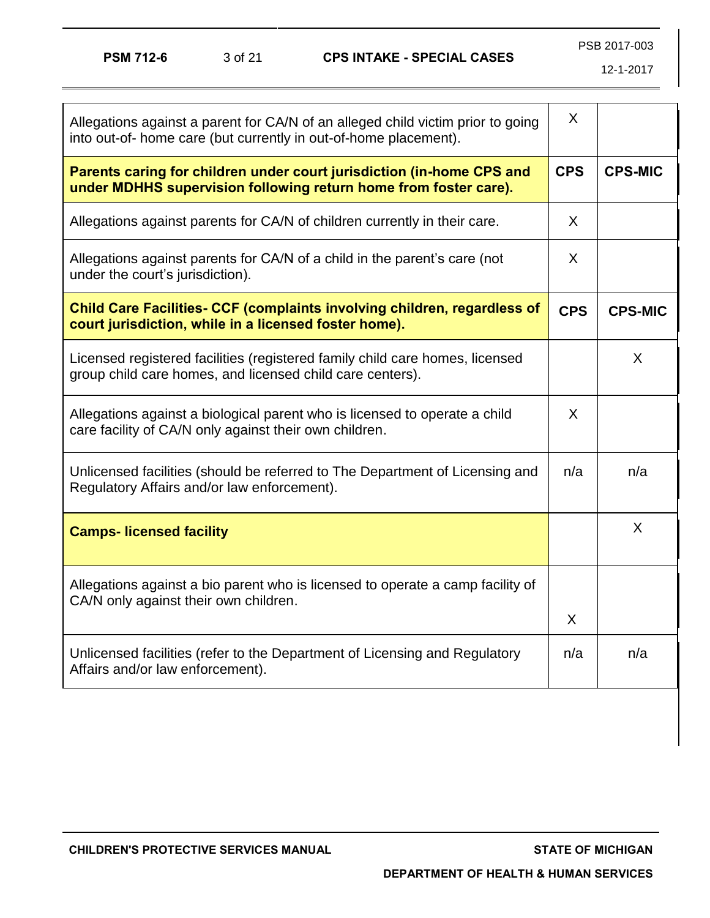| Allegations against a parent for CA/N of an alleged child victim prior to going<br>into out-of- home care (but currently in out-of-home placement). | X          |                |
|-----------------------------------------------------------------------------------------------------------------------------------------------------|------------|----------------|
| Parents caring for children under court jurisdiction (in-home CPS and<br>under MDHHS supervision following return home from foster care).           | <b>CPS</b> | <b>CPS-MIC</b> |
| Allegations against parents for CA/N of children currently in their care.                                                                           | X          |                |
| Allegations against parents for CA/N of a child in the parent's care (not<br>under the court's jurisdiction).                                       | X          |                |
| <b>Child Care Facilities- CCF (complaints involving children, regardless of</b><br>court jurisdiction, while in a licensed foster home).            | <b>CPS</b> | <b>CPS-MIC</b> |
| Licensed registered facilities (registered family child care homes, licensed<br>group child care homes, and licensed child care centers).           |            | X              |
| Allegations against a biological parent who is licensed to operate a child<br>care facility of CA/N only against their own children.                | X          |                |
| Unlicensed facilities (should be referred to The Department of Licensing and<br>Regulatory Affairs and/or law enforcement).                         | n/a        | n/a            |
| <b>Camps-Iicensed facility</b>                                                                                                                      |            | X              |
| Allegations against a bio parent who is licensed to operate a camp facility of<br>CA/N only against their own children.                             | X          |                |
| Unlicensed facilities (refer to the Department of Licensing and Regulatory<br>Affairs and/or law enforcement).                                      | n/a        | n/a            |
|                                                                                                                                                     |            |                |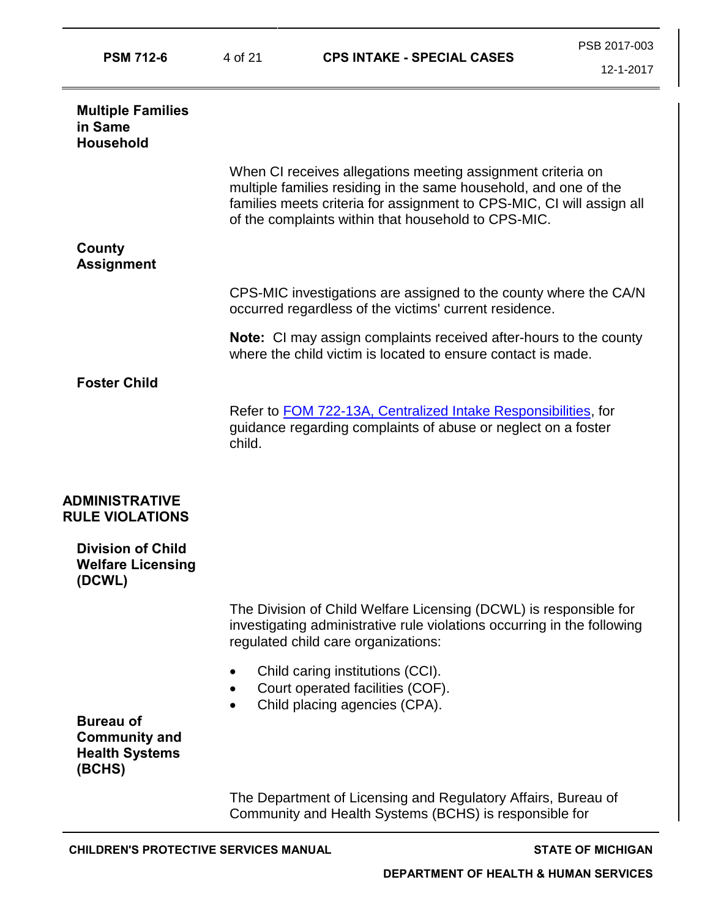| <b>PSM 712-6</b>                                                            | 4 of 21 | <b>CPS INTAKE - SPECIAL CASES</b>                                                                                                                                                                                                                               | PSB 2017-003<br>12-1-2017 |
|-----------------------------------------------------------------------------|---------|-----------------------------------------------------------------------------------------------------------------------------------------------------------------------------------------------------------------------------------------------------------------|---------------------------|
| <b>Multiple Families</b>                                                    |         |                                                                                                                                                                                                                                                                 |                           |
| in Same<br><b>Household</b>                                                 |         |                                                                                                                                                                                                                                                                 |                           |
|                                                                             |         | When CI receives allegations meeting assignment criteria on<br>multiple families residing in the same household, and one of the<br>families meets criteria for assignment to CPS-MIC, CI will assign all<br>of the complaints within that household to CPS-MIC. |                           |
| County<br><b>Assignment</b>                                                 |         |                                                                                                                                                                                                                                                                 |                           |
|                                                                             |         | CPS-MIC investigations are assigned to the county where the CA/N<br>occurred regardless of the victims' current residence.                                                                                                                                      |                           |
|                                                                             |         | <b>Note:</b> CI may assign complaints received after-hours to the county<br>where the child victim is located to ensure contact is made.                                                                                                                        |                           |
| <b>Foster Child</b>                                                         |         |                                                                                                                                                                                                                                                                 |                           |
|                                                                             | child.  | Refer to <b>FOM 722-13A, Centralized Intake Responsibilities</b> , for<br>guidance regarding complaints of abuse or neglect on a foster                                                                                                                         |                           |
| <b>ADMINISTRATIVE</b><br><b>RULE VIOLATIONS</b>                             |         |                                                                                                                                                                                                                                                                 |                           |
| <b>Division of Child</b><br><b>Welfare Licensing</b><br>(DCWL)              |         |                                                                                                                                                                                                                                                                 |                           |
|                                                                             |         | The Division of Child Welfare Licensing (DCWL) is responsible for<br>investigating administrative rule violations occurring in the following<br>regulated child care organizations:                                                                             |                           |
|                                                                             |         | Child caring institutions (CCI).<br>Court operated facilities (COF).<br>Child placing agencies (CPA).                                                                                                                                                           |                           |
| <b>Bureau of</b><br><b>Community and</b><br><b>Health Systems</b><br>(BCHS) |         |                                                                                                                                                                                                                                                                 |                           |
|                                                                             |         | The Department of Licensing and Regulatory Affairs, Bureau of<br>Community and Health Systems (BCHS) is responsible for                                                                                                                                         |                           |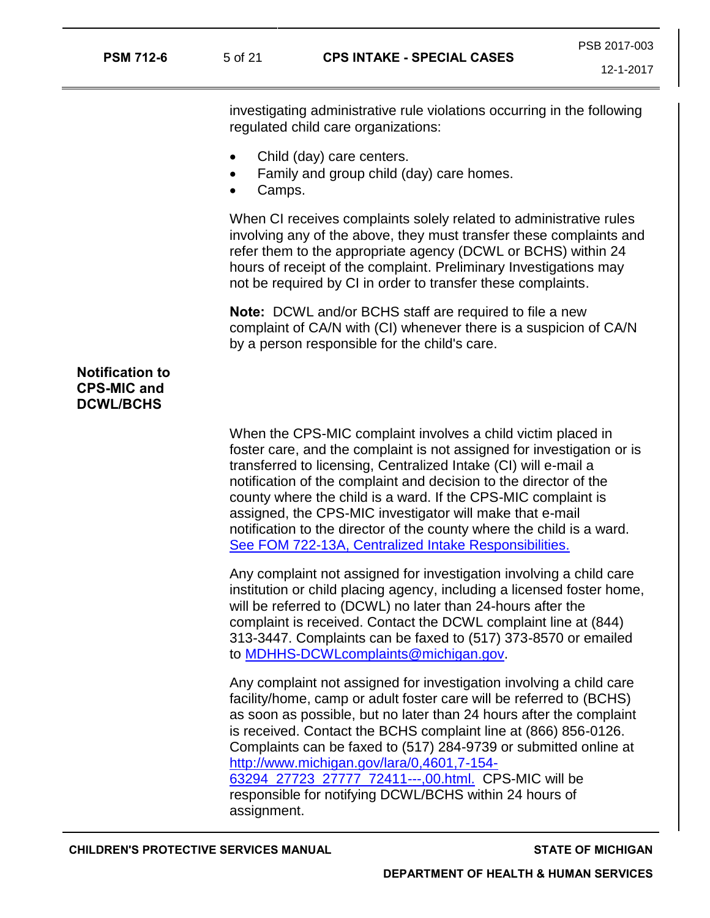| <b>CPS INTAKE - SPECIAL CASES</b><br><b>PSM 712-6</b><br>5 of 21 |
|------------------------------------------------------------------|
|------------------------------------------------------------------|

PSB 2017-003

12-1-2017

investigating administrative rule violations occurring in the following regulated child care organizations:

- Child (day) care centers.
- Family and group child (day) care homes.
- Camps.

When CI receives complaints solely related to administrative rules involving any of the above, they must transfer these complaints and refer them to the appropriate agency (DCWL or BCHS) within 24 hours of receipt of the complaint. Preliminary Investigations may not be required by CI in order to transfer these complaints.

**Note:** DCWL and/or BCHS staff are required to file a new complaint of CA/N with (CI) whenever there is a suspicion of CA/N by a person responsible for the child's care.

# **Notification to CPS-MIC and DCWL/BCHS**

When the CPS-MIC complaint involves a child victim placed in foster care, and the complaint is not assigned for investigation or is transferred to licensing, Centralized Intake (CI) will e-mail a notification of the complaint and decision to the director of the county where the child is a ward. If the CPS-MIC complaint is assigned, the CPS-MIC investigator will make that e-mail notification to the director of the county where the child is a ward. [See FOM 722-13A, Centralized Intake Responsibilities.](https://dhhs.michigan.gov/OLMWEB/EX/FO/Public/FOM/722-13A.pdf#pagemode=bookmarks) 

Any complaint not assigned for investigation involving a child care institution or child placing agency, including a licensed foster home, will be referred to (DCWL) no later than 24-hours after the complaint is received. Contact the DCWL complaint line at (844) 313-3447. Complaints can be faxed to (517) 373-8570 or emailed to [MDHHS-DCWLcomplaints@michigan.gov.](mailto:MDHHS-DCWLcomplaints@michigan.gov) 

Any complaint not assigned for investigation involving a child care facility/home, camp or adult foster care will be referred to (BCHS) as soon as possible, but no later than 24 hours after the complaint is received. Contact the BCHS complaint line at (866) 856-0126. Complaints can be faxed to (517) 284-9739 or submitted online at [http://www.michigan.gov/lara/0,4601,7-154-](http://www.michigan.gov/lara/0,4601,7-154-63294_27723_27777_72411---,00.html) [63294\\_27723\\_27777\\_72411---,00.html.](http://www.michigan.gov/lara/0,4601,7-154-63294_27723_27777_72411---,00.html) CPS-MIC will be

responsible for notifying DCWL/BCHS within 24 hours of assignment.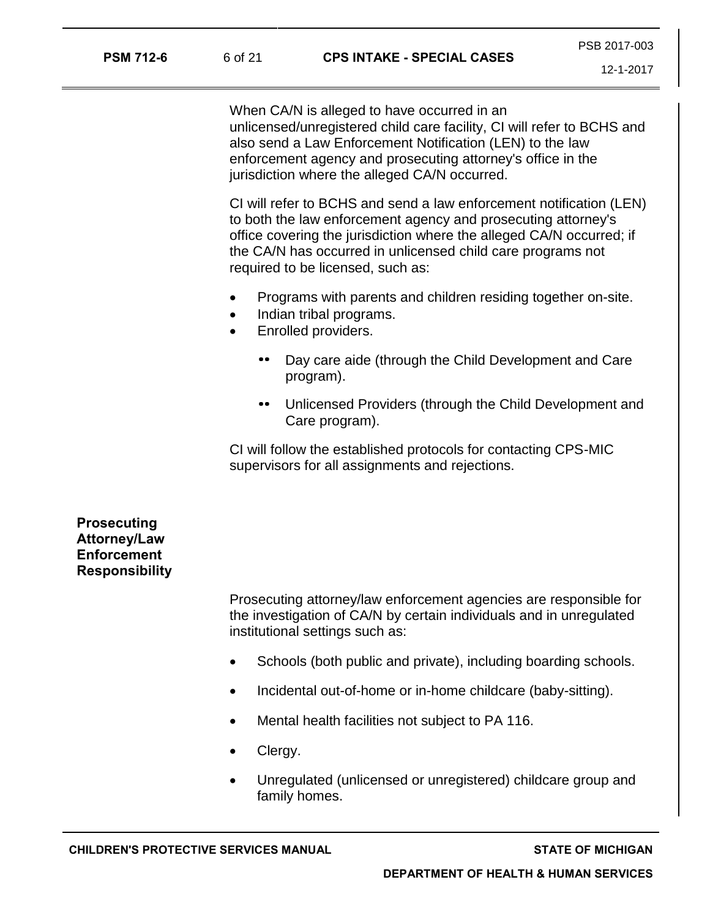When CA/N is alleged to have occurred in an unlicensed/unregistered child care facility, CI will refer to BCHS and also send a Law Enforcement Notification (LEN) to the law enforcement agency and prosecuting attorney's office in the jurisdiction where the alleged CA/N occurred.

CI will refer to BCHS and send a law enforcement notification (LEN) to both the law enforcement agency and prosecuting attorney's office covering the jurisdiction where the alleged CA/N occurred; if the CA/N has occurred in unlicensed child care programs not required to be licensed, such as:

- Programs with parents and children residing together on-site.
- Indian tribal programs.
- Enrolled providers.
	- Day care aide (through the Child Development and Care program).
	- Unlicensed Providers (through the Child Development and Care program).

CI will follow the established protocols for contacting CPS-MIC supervisors for all assignments and rejections.

**Prosecuting Attorney/Law Enforcement Responsibility**

> Prosecuting attorney/law enforcement agencies are responsible for the investigation of CA/N by certain individuals and in unregulated institutional settings such as:

- Schools (both public and private), including boarding schools.
- Incidental out-of-home or in-home childcare (baby-sitting).
- Mental health facilities not subject to PA 116.
- Clergy.
- Unregulated (unlicensed or unregistered) childcare group and family homes.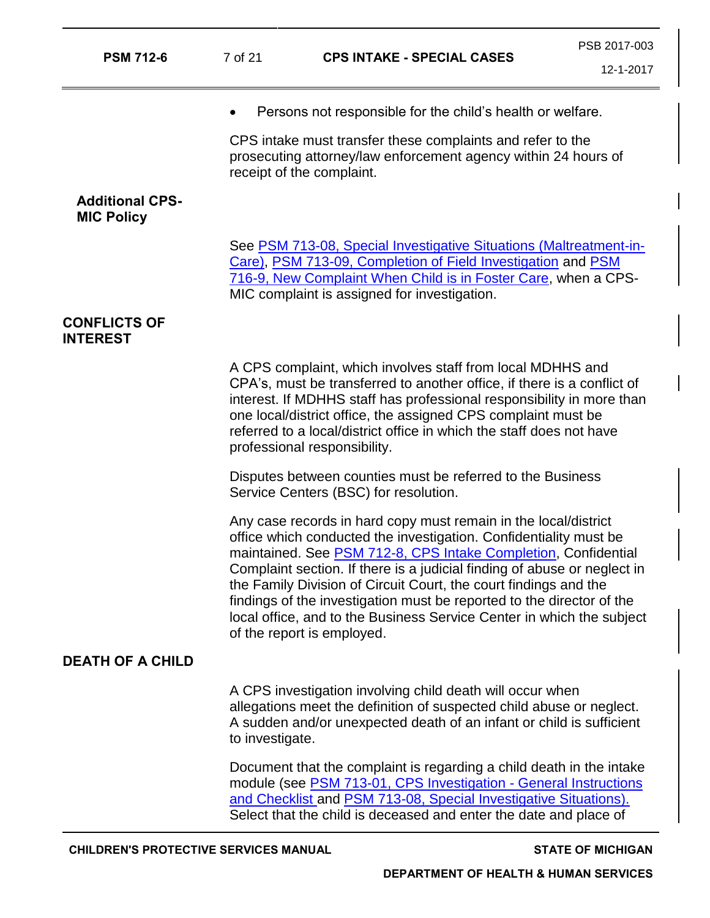| <b>PSM 712-6</b>                            | 7 of 21         | <b>CPS INTAKE - SPECIAL CASES</b>                                                                                                                                                                                                                                                                                                                                                                                                                                                                                                      | PSB 2017-003<br>12-1-2017 |
|---------------------------------------------|-----------------|----------------------------------------------------------------------------------------------------------------------------------------------------------------------------------------------------------------------------------------------------------------------------------------------------------------------------------------------------------------------------------------------------------------------------------------------------------------------------------------------------------------------------------------|---------------------------|
|                                             |                 | Persons not responsible for the child's health or welfare.                                                                                                                                                                                                                                                                                                                                                                                                                                                                             |                           |
|                                             |                 | CPS intake must transfer these complaints and refer to the<br>prosecuting attorney/law enforcement agency within 24 hours of<br>receipt of the complaint.                                                                                                                                                                                                                                                                                                                                                                              |                           |
| <b>Additional CPS-</b><br><b>MIC Policy</b> |                 |                                                                                                                                                                                                                                                                                                                                                                                                                                                                                                                                        |                           |
|                                             |                 | See PSM 713-08, Special Investigative Situations (Maltreatment-in-<br>Care), PSM 713-09, Completion of Field Investigation and PSM<br>716-9, New Complaint When Child is in Foster Care, when a CPS-<br>MIC complaint is assigned for investigation.                                                                                                                                                                                                                                                                                   |                           |
| <b>CONFLICTS OF</b><br><b>INTEREST</b>      |                 |                                                                                                                                                                                                                                                                                                                                                                                                                                                                                                                                        |                           |
|                                             |                 | A CPS complaint, which involves staff from local MDHHS and<br>CPA's, must be transferred to another office, if there is a conflict of<br>interest. If MDHHS staff has professional responsibility in more than<br>one local/district office, the assigned CPS complaint must be<br>referred to a local/district office in which the staff does not have<br>professional responsibility.                                                                                                                                                |                           |
|                                             |                 | Disputes between counties must be referred to the Business<br>Service Centers (BSC) for resolution.                                                                                                                                                                                                                                                                                                                                                                                                                                    |                           |
|                                             |                 | Any case records in hard copy must remain in the local/district<br>office which conducted the investigation. Confidentiality must be<br>maintained. See PSM 712-8, CPS Intake Completion, Confidential<br>Complaint section. If there is a judicial finding of abuse or neglect in<br>the Family Division of Circuit Court, the court findings and the<br>findings of the investigation must be reported to the director of the<br>local office, and to the Business Service Center in which the subject<br>of the report is employed. |                           |
| <b>DEATH OF A CHILD</b>                     |                 |                                                                                                                                                                                                                                                                                                                                                                                                                                                                                                                                        |                           |
|                                             | to investigate. | A CPS investigation involving child death will occur when<br>allegations meet the definition of suspected child abuse or neglect.<br>A sudden and/or unexpected death of an infant or child is sufficient                                                                                                                                                                                                                                                                                                                              |                           |
|                                             |                 | Document that the complaint is regarding a child death in the intake<br>module (see <b>PSM 713-01, CPS Investigation - General Instructions</b><br>and Checklist and PSM 713-08, Special Investigative Situations).<br>Select that the child is deceased and enter the date and place of                                                                                                                                                                                                                                               |                           |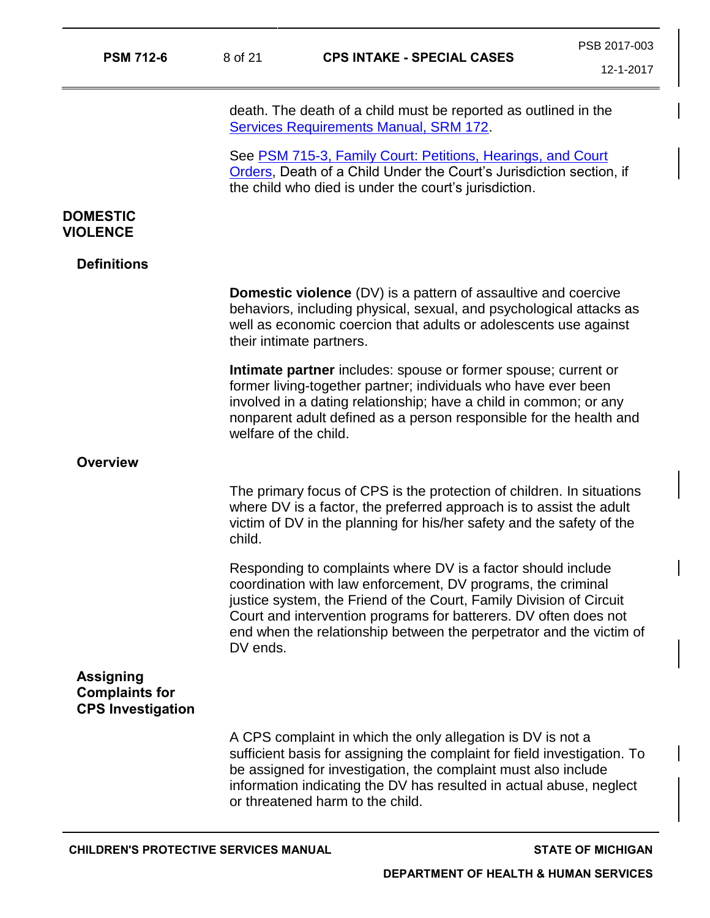| <b>PSM 712-6</b>                                                      | 8 of 21               | <b>CPS INTAKE - SPECIAL CASES</b>                                                                                                                                                                                                                                                                                                              | 12-1-2017 |
|-----------------------------------------------------------------------|-----------------------|------------------------------------------------------------------------------------------------------------------------------------------------------------------------------------------------------------------------------------------------------------------------------------------------------------------------------------------------|-----------|
|                                                                       |                       | death. The death of a child must be reported as outlined in the<br><b>Services Requirements Manual, SRM 172.</b>                                                                                                                                                                                                                               |           |
|                                                                       |                       | See PSM 715-3, Family Court: Petitions, Hearings, and Court<br>Orders, Death of a Child Under the Court's Jurisdiction section, if<br>the child who died is under the court's jurisdiction.                                                                                                                                                    |           |
| <b>DOMESTIC</b><br><b>VIOLENCE</b>                                    |                       |                                                                                                                                                                                                                                                                                                                                                |           |
| <b>Definitions</b>                                                    |                       |                                                                                                                                                                                                                                                                                                                                                |           |
|                                                                       |                       | <b>Domestic violence</b> (DV) is a pattern of assaultive and coercive<br>behaviors, including physical, sexual, and psychological attacks as<br>well as economic coercion that adults or adolescents use against<br>their intimate partners.                                                                                                   |           |
|                                                                       | welfare of the child. | Intimate partner includes: spouse or former spouse; current or<br>former living-together partner; individuals who have ever been<br>involved in a dating relationship; have a child in common; or any<br>nonparent adult defined as a person responsible for the health and                                                                    |           |
| <b>Overview</b>                                                       |                       |                                                                                                                                                                                                                                                                                                                                                |           |
|                                                                       | child.                | The primary focus of CPS is the protection of children. In situations<br>where DV is a factor, the preferred approach is to assist the adult<br>victim of DV in the planning for his/her safety and the safety of the                                                                                                                          |           |
|                                                                       | DV ends.              | Responding to complaints where DV is a factor should include<br>coordination with law enforcement, DV programs, the criminal<br>justice system, the Friend of the Court, Family Division of Circuit<br>Court and intervention programs for batterers. DV often does not<br>end when the relationship between the perpetrator and the victim of |           |
| <b>Assigning</b><br><b>Complaints for</b><br><b>CPS Investigation</b> |                       |                                                                                                                                                                                                                                                                                                                                                |           |
|                                                                       |                       | A CPS complaint in which the only allegation is DV is not a<br>sufficient basis for assigning the complaint for field investigation. To<br>be assigned for investigation, the complaint must also include<br>information indicating the DV has resulted in actual abuse, neglect<br>or threatened harm to the child.                           |           |
|                                                                       |                       |                                                                                                                                                                                                                                                                                                                                                |           |

PSB 2017-003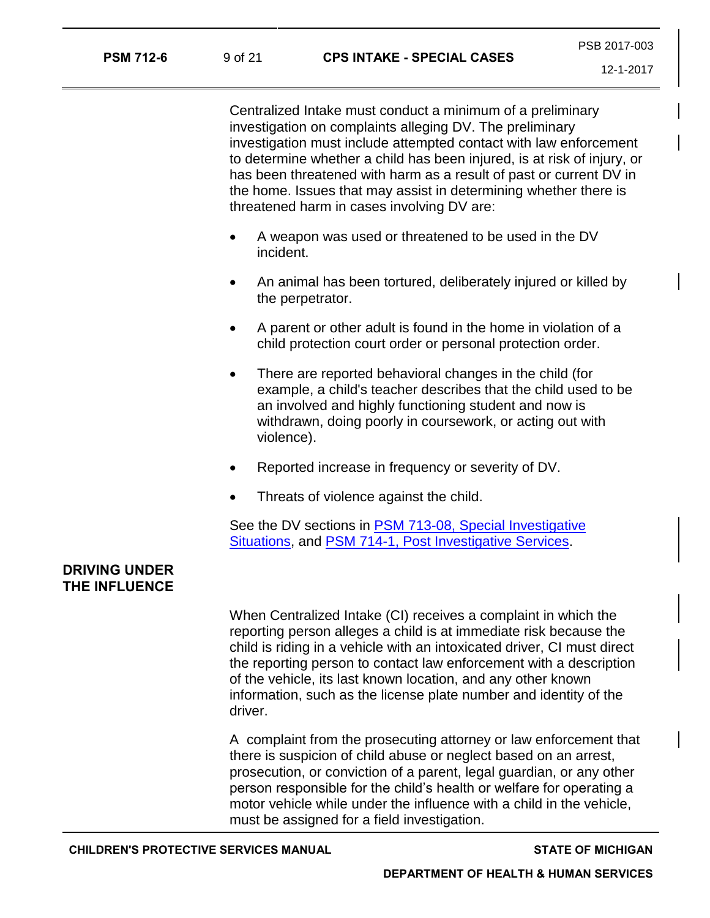Centralized Intake must conduct a minimum of a preliminary investigation on complaints alleging DV. The preliminary investigation must include attempted contact with law enforcement to determine whether a child has been injured, is at risk of injury, or has been threatened with harm as a result of past or current DV in the home. Issues that may assist in determining whether there is threatened harm in cases involving DV are:

- A weapon was used or threatened to be used in the DV incident.
- An animal has been tortured, deliberately injured or killed by the perpetrator.
- A parent or other adult is found in the home in violation of a child protection court order or personal protection order.
- There are reported behavioral changes in the child (for example, a child's teacher describes that the child used to be an involved and highly functioning student and now is withdrawn, doing poorly in coursework, or acting out with violence).
- Reported increase in frequency or severity of DV.
- Threats of violence against the child.

See the DV sections in PSM 713-08, Special Investigative [Situations,](https://dhhs.michigan.gov/OLMWEB/EX/PS/Public/PSM/713-08.pdf#pagemode=bookmarks) and [PSM 714-1, Post Investigative Services.](https://dhhs.michigan.gov/OLMWEB/EX/PS/Public/PSM/714-1.pdf#pagemode=bookmarks)

# **DRIVING UNDER THE INFLUENCE**

When Centralized Intake (CI) receives a complaint in which the reporting person alleges a child is at immediate risk because the child is riding in a vehicle with an intoxicated driver, CI must direct the reporting person to contact law enforcement with a description of the vehicle, its last known location, and any other known information, such as the license plate number and identity of the driver.

A complaint from the prosecuting attorney or law enforcement that there is suspicion of child abuse or neglect based on an arrest, prosecution, or conviction of a parent, legal guardian, or any other person responsible for the child's health or welfare for operating a motor vehicle while under the influence with a child in the vehicle, must be assigned for a field investigation.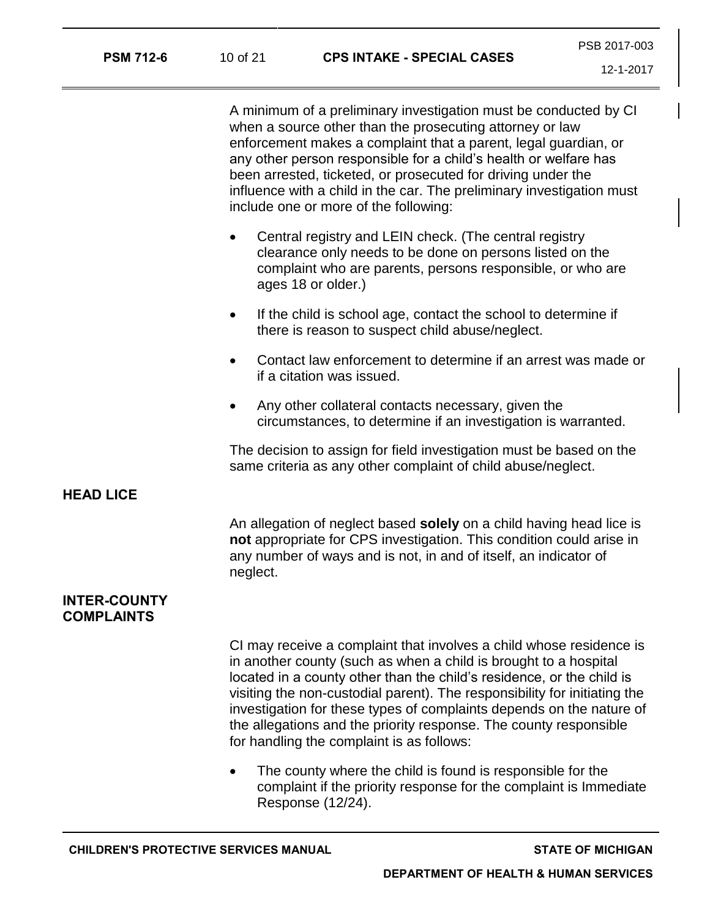| <b>PSM 712-6</b> | 10 of 21 | <b>CPS INTAKE - SPECIAL CASES</b> | PSB 2017-003 |
|------------------|----------|-----------------------------------|--------------|
|                  |          |                                   | 1010017      |

A minimum of a preliminary investigation must be conducted by CI when a source other than the prosecuting attorney or law enforcement makes a complaint that a parent, legal guardian, or any other person responsible for a child's health or welfare has been arrested, ticketed, or prosecuted for driving under the influence with a child in the car. The preliminary investigation must include one or more of the following:

- Central registry and LEIN check. (The central registry clearance only needs to be done on persons listed on the complaint who are parents, persons responsible, or who are ages 18 or older.)
- If the child is school age, contact the school to determine if there is reason to suspect child abuse/neglect.
- Contact law enforcement to determine if an arrest was made or if a citation was issued.
- Any other collateral contacts necessary, given the circumstances, to determine if an investigation is warranted.

The decision to assign for field investigation must be based on the same criteria as any other complaint of child abuse/neglect.

#### **HEAD LICE**

An allegation of neglect based **solely** on a child having head lice is **not** appropriate for CPS investigation. This condition could arise in any number of ways and is not, in and of itself, an indicator of neglect.

## **INTER-COUNTY COMPLAINTS**

CI may receive a complaint that involves a child whose residence is in another county (such as when a child is brought to a hospital located in a county other than the child's residence, or the child is visiting the non-custodial parent). The responsibility for initiating the investigation for these types of complaints depends on the nature of the allegations and the priority response. The county responsible for handling the complaint is as follows:

• The county where the child is found is responsible for the complaint if the priority response for the complaint is Immediate Response (12/24).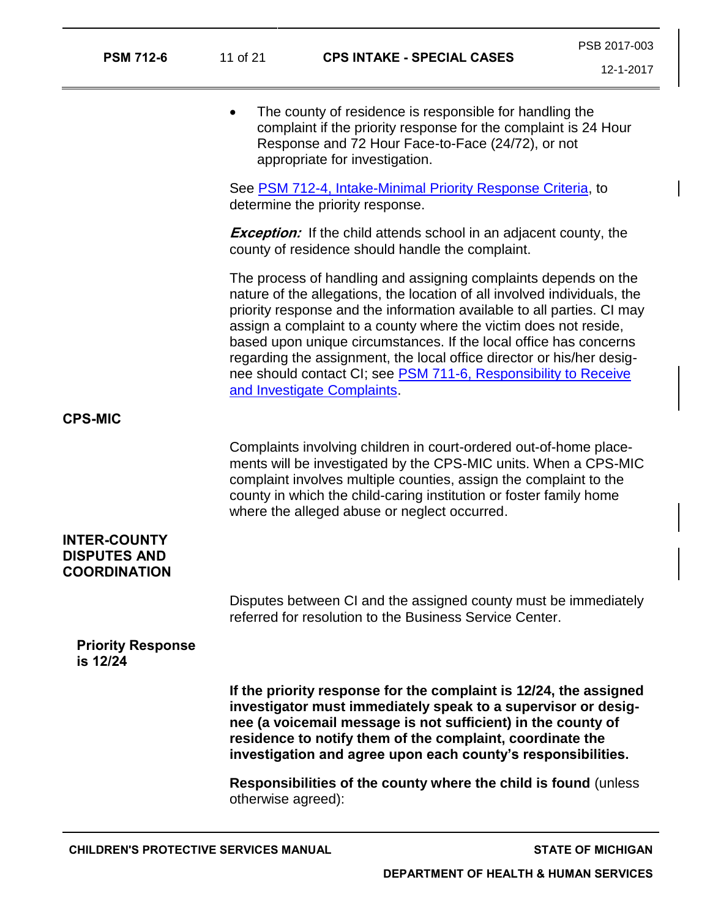| <b>PSM 712-6</b>                                                  | 11 of 21<br><b>CPS INTAKE - SPECIAL CASES</b> |                                                                                                                                                                                                                                                                                                                                                                                                                                                                                                                                           | PSB 2017-003 |
|-------------------------------------------------------------------|-----------------------------------------------|-------------------------------------------------------------------------------------------------------------------------------------------------------------------------------------------------------------------------------------------------------------------------------------------------------------------------------------------------------------------------------------------------------------------------------------------------------------------------------------------------------------------------------------------|--------------|
|                                                                   |                                               |                                                                                                                                                                                                                                                                                                                                                                                                                                                                                                                                           |              |
|                                                                   | $\bullet$                                     | The county of residence is responsible for handling the<br>complaint if the priority response for the complaint is 24 Hour<br>Response and 72 Hour Face-to-Face (24/72), or not<br>appropriate for investigation.                                                                                                                                                                                                                                                                                                                         |              |
|                                                                   |                                               | See PSM 712-4, Intake-Minimal Priority Response Criteria, to<br>determine the priority response.                                                                                                                                                                                                                                                                                                                                                                                                                                          |              |
|                                                                   |                                               | <b>Exception:</b> If the child attends school in an adjacent county, the<br>county of residence should handle the complaint.                                                                                                                                                                                                                                                                                                                                                                                                              |              |
|                                                                   |                                               | The process of handling and assigning complaints depends on the<br>nature of the allegations, the location of all involved individuals, the<br>priority response and the information available to all parties. CI may<br>assign a complaint to a county where the victim does not reside,<br>based upon unique circumstances. If the local office has concerns<br>regarding the assignment, the local office director or his/her desig-<br>nee should contact CI; see PSM 711-6, Responsibility to Receive<br>and Investigate Complaints. |              |
| <b>CPS-MIC</b>                                                    |                                               |                                                                                                                                                                                                                                                                                                                                                                                                                                                                                                                                           |              |
|                                                                   |                                               | Complaints involving children in court-ordered out-of-home place-<br>ments will be investigated by the CPS-MIC units. When a CPS-MIC<br>complaint involves multiple counties, assign the complaint to the<br>county in which the child-caring institution or foster family home<br>where the alleged abuse or neglect occurred.                                                                                                                                                                                                           |              |
| <b>INTER-COUNTY</b><br><b>DISPUTES AND</b><br><b>COORDINATION</b> |                                               |                                                                                                                                                                                                                                                                                                                                                                                                                                                                                                                                           |              |
|                                                                   |                                               | Disputes between CI and the assigned county must be immediately<br>referred for resolution to the Business Service Center.                                                                                                                                                                                                                                                                                                                                                                                                                |              |
| <b>Priority Response</b><br>is 12/24                              |                                               |                                                                                                                                                                                                                                                                                                                                                                                                                                                                                                                                           |              |
|                                                                   |                                               | If the priority response for the complaint is 12/24, the assigned<br>investigator must immediately speak to a supervisor or desig-<br>nee (a voicemail message is not sufficient) in the county of<br>residence to notify them of the complaint, coordinate the<br>investigation and agree upon each county's responsibilities.                                                                                                                                                                                                           |              |
|                                                                   | otherwise agreed):                            | Responsibilities of the county where the child is found (unless                                                                                                                                                                                                                                                                                                                                                                                                                                                                           |              |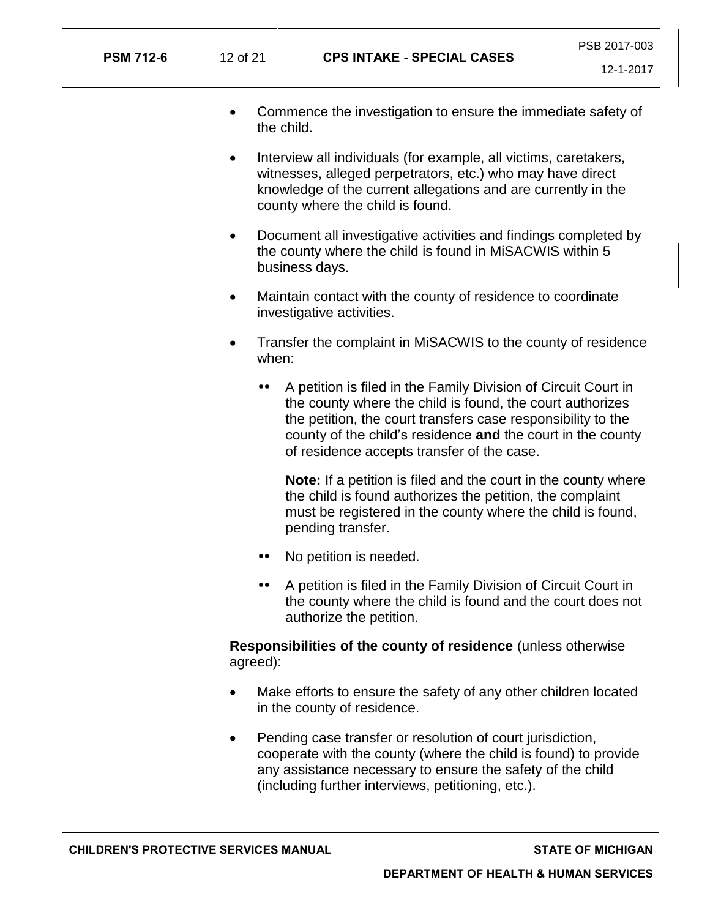- Commence the investigation to ensure the immediate safety of the child.
- Interview all individuals (for example, all victims, caretakers, witnesses, alleged perpetrators, etc.) who may have direct knowledge of the current allegations and are currently in the county where the child is found.
- Document all investigative activities and findings completed by the county where the child is found in MiSACWIS within 5 business days.
- Maintain contact with the county of residence to coordinate investigative activities.
- Transfer the complaint in MiSACWIS to the county of residence when:
	- $\bullet\bullet\quad$ A petition is filed in the Family Division of Circuit Court in the county where the child is found, the court authorizes the petition, the court transfers case responsibility to the county of the child's residence **and** the court in the county of residence accepts transfer of the case.

**Note:** If a petition is filed and the court in the county where the child is found authorizes the petition, the complaint must be registered in the county where the child is found, pending transfer.

- No petition is needed.
- A petition is filed in the Family Division of Circuit Court in the county where the child is found and the court does not authorize the petition.

**Responsibilities of the county of residence** (unless otherwise agreed):

- Make efforts to ensure the safety of any other children located in the county of residence.
- Pending case transfer or resolution of court jurisdiction, cooperate with the county (where the child is found) to provide any assistance necessary to ensure the safety of the child (including further interviews, petitioning, etc.).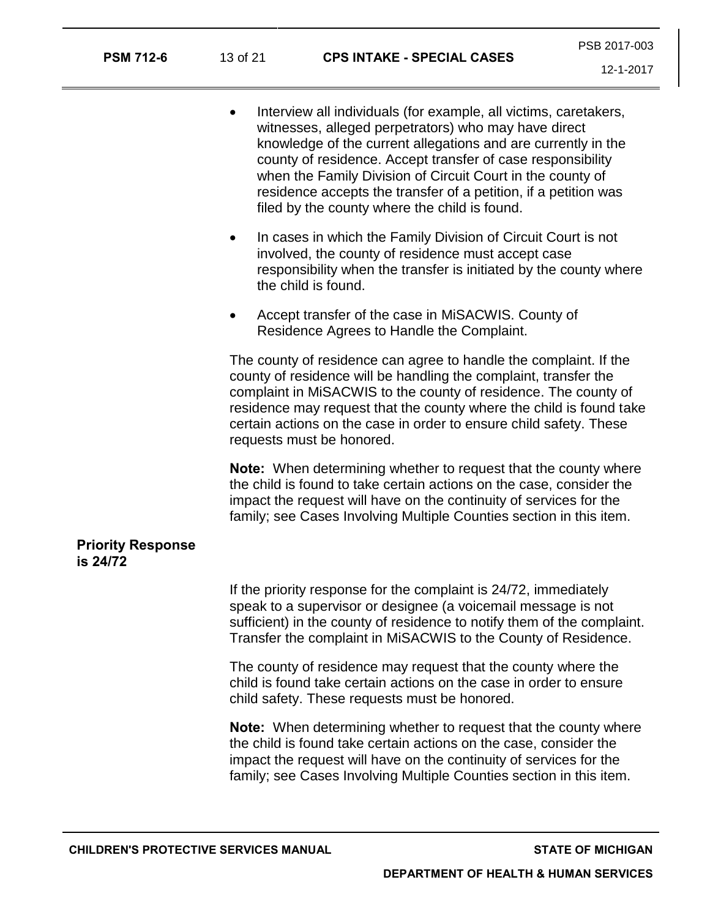- Interview all individuals (for example, all victims, caretakers, witnesses, alleged perpetrators) who may have direct knowledge of the current allegations and are currently in the county of residence. Accept transfer of case responsibility when the Family Division of Circuit Court in the county of residence accepts the transfer of a petition, if a petition was filed by the county where the child is found.
- In cases in which the Family Division of Circuit Court is not involved, the county of residence must accept case responsibility when the transfer is initiated by the county where the child is found.
- Accept transfer of the case in MiSACWIS. County of Residence Agrees to Handle the Complaint.

The county of residence can agree to handle the complaint. If the county of residence will be handling the complaint, transfer the complaint in MiSACWIS to the county of residence. The county of residence may request that the county where the child is found take certain actions on the case in order to ensure child safety. These requests must be honored.

**Note:** When determining whether to request that the county where the child is found to take certain actions on the case, consider the impact the request will have on the continuity of services for the family; see Cases Involving Multiple Counties section in this item.

#### **Priority Response is 24/72**

If the priority response for the complaint is 24/72, immediately speak to a supervisor or designee (a voicemail message is not sufficient) in the county of residence to notify them of the complaint. Transfer the complaint in MiSACWIS to the County of Residence.

The county of residence may request that the county where the child is found take certain actions on the case in order to ensure child safety. These requests must be honored.

**Note:** When determining whether to request that the county where the child is found take certain actions on the case, consider the impact the request will have on the continuity of services for the family; see Cases Involving Multiple Counties section in this item.

**CHILDREN'S PROTECTIVE SERVICES MANUAL STATE OF MICHIGAN**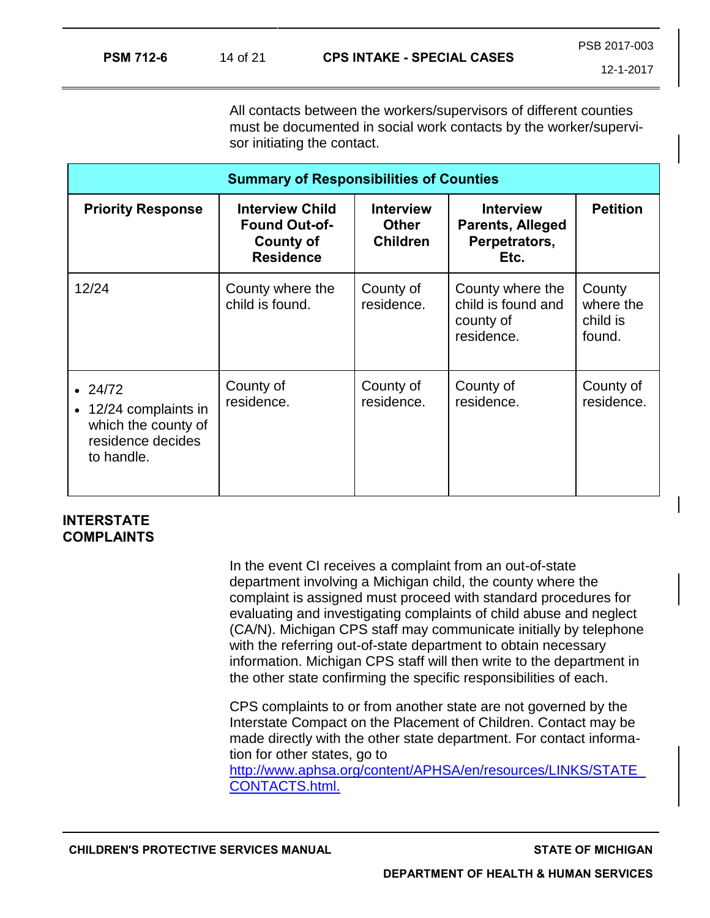All contacts between the workers/supervisors of different counties must be documented in social work contacts by the worker/supervisor initiating the contact.

| <b>Summary of Responsibilities of Counties</b>                                                   |                                                                                        |                                                     |                                                                      |                                           |
|--------------------------------------------------------------------------------------------------|----------------------------------------------------------------------------------------|-----------------------------------------------------|----------------------------------------------------------------------|-------------------------------------------|
| <b>Priority Response</b>                                                                         | <b>Interview Child</b><br><b>Found Out-of-</b><br><b>County of</b><br><b>Residence</b> | <b>Interview</b><br><b>Other</b><br><b>Children</b> | <b>Interview</b><br><b>Parents, Alleged</b><br>Perpetrators,<br>Etc. | <b>Petition</b>                           |
| 12/24                                                                                            | County where the<br>child is found.                                                    | County of<br>residence.                             | County where the<br>child is found and<br>county of<br>residence.    | County<br>where the<br>child is<br>found. |
| $\cdot$ 24/72<br>• 12/24 complaints in<br>which the county of<br>residence decides<br>to handle. | County of<br>residence.                                                                | County of<br>residence.                             | County of<br>residence.                                              | County of<br>residence.                   |

# **INTERSTATE COMPLAINTS**

In the event CI receives a complaint from an out-of-state department involving a Michigan child, the county where the complaint is assigned must proceed with standard procedures for evaluating and investigating complaints of child abuse and neglect (CA/N). Michigan CPS staff may communicate initially by telephone with the referring out-of-state department to obtain necessary information. Michigan CPS staff will then write to the department in the other state confirming the specific responsibilities of each.

CPS complaints to or from another state are not governed by the Interstate Compact on the Placement of Children. Contact may be made directly with the other state department. For contact information for other states, go to

[http://www.aphsa.org/content/APHSA/en/resources/LINKS/STATE\\_](http://www.aphsa.org/content/APHSA/en/resources/LINKS/STATE_CONTACTS.html) [CONTACTS.html.](http://www.aphsa.org/content/APHSA/en/resources/LINKS/STATE_CONTACTS.html)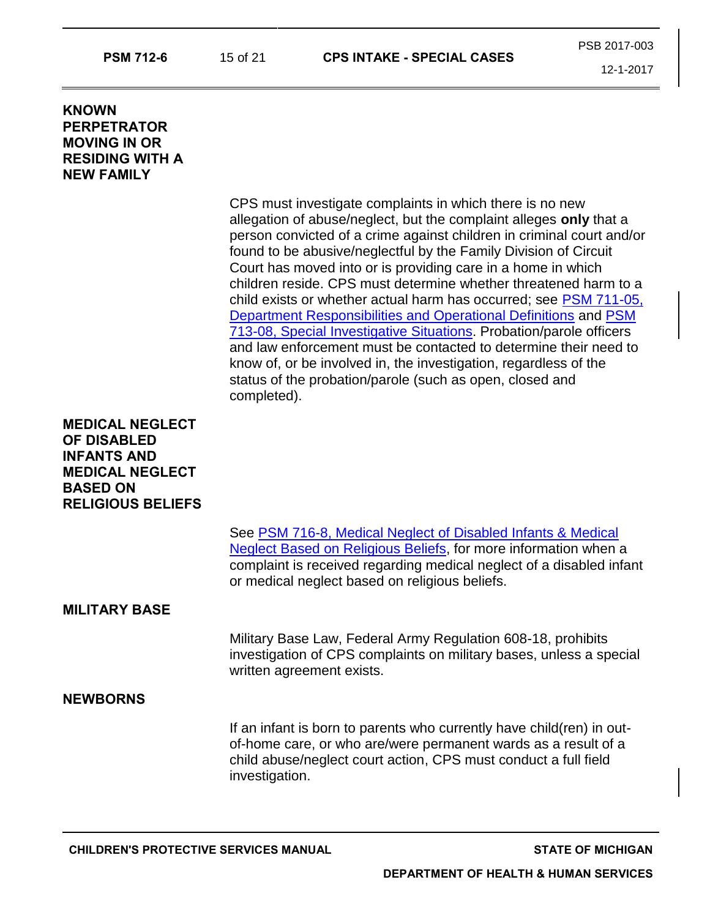| <b>KNOWN</b><br><b>PERPETRATOR</b><br><b>MOVING IN OR</b><br><b>RESIDING WITH A</b><br><b>NEW FAMILY</b>                                    |                                                                                                                                                                                                                                                                                                                                                                                                                                                                                                                                                                                                                                                                                                                                                                                                                                                   |
|---------------------------------------------------------------------------------------------------------------------------------------------|---------------------------------------------------------------------------------------------------------------------------------------------------------------------------------------------------------------------------------------------------------------------------------------------------------------------------------------------------------------------------------------------------------------------------------------------------------------------------------------------------------------------------------------------------------------------------------------------------------------------------------------------------------------------------------------------------------------------------------------------------------------------------------------------------------------------------------------------------|
|                                                                                                                                             | CPS must investigate complaints in which there is no new<br>allegation of abuse/neglect, but the complaint alleges only that a<br>person convicted of a crime against children in criminal court and/or<br>found to be abusive/neglectful by the Family Division of Circuit<br>Court has moved into or is providing care in a home in which<br>children reside. CPS must determine whether threatened harm to a<br>child exists or whether actual harm has occurred; see PSM 711-05,<br>Department Responsibilities and Operational Definitions and PSM<br>713-08, Special Investigative Situations. Probation/parole officers<br>and law enforcement must be contacted to determine their need to<br>know of, or be involved in, the investigation, regardless of the<br>status of the probation/parole (such as open, closed and<br>completed). |
| <b>MEDICAL NEGLECT</b><br><b>OF DISABLED</b><br><b>INFANTS AND</b><br><b>MEDICAL NEGLECT</b><br><b>BASED ON</b><br><b>RELIGIOUS BELIEFS</b> |                                                                                                                                                                                                                                                                                                                                                                                                                                                                                                                                                                                                                                                                                                                                                                                                                                                   |
|                                                                                                                                             | See PSM 716-8, Medical Neglect of Disabled Infants & Medical<br>Neglect Based on Religious Beliefs, for more information when a<br>complaint is received regarding medical neglect of a disabled infant<br>or medical neglect based on religious beliefs.                                                                                                                                                                                                                                                                                                                                                                                                                                                                                                                                                                                         |
| <b>MILITARY BASE</b>                                                                                                                        |                                                                                                                                                                                                                                                                                                                                                                                                                                                                                                                                                                                                                                                                                                                                                                                                                                                   |
|                                                                                                                                             | Military Base Law, Federal Army Regulation 608-18, prohibits<br>investigation of CPS complaints on military bases, unless a special<br>written agreement exists.                                                                                                                                                                                                                                                                                                                                                                                                                                                                                                                                                                                                                                                                                  |
| <b>NEWBORNS</b>                                                                                                                             |                                                                                                                                                                                                                                                                                                                                                                                                                                                                                                                                                                                                                                                                                                                                                                                                                                                   |
|                                                                                                                                             | If an infant is born to parents who currently have child(ren) in out-<br>of-home care, or who are/were permanent wards as a result of a<br>child abuse/neglect court action, CPS must conduct a full field                                                                                                                                                                                                                                                                                                                                                                                                                                                                                                                                                                                                                                        |

**PSM 712-6** 15 of 21 **CPS INTAKE - SPECIAL CASES**

investigation.

PSB 2017-003

12-1-2017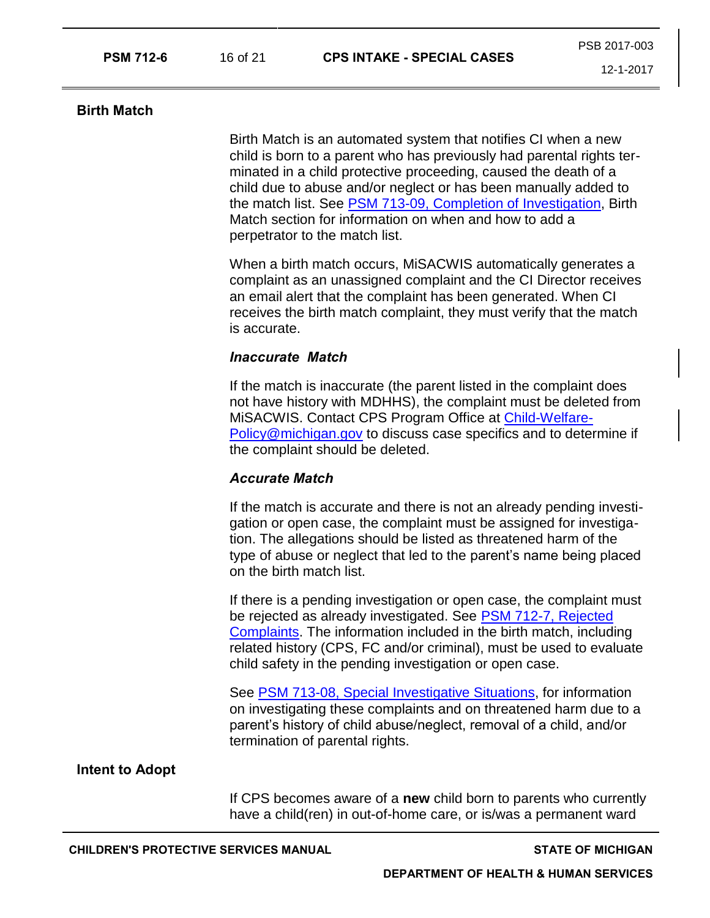Birth Match is an automated system that notifies CI when a new child is born to a parent who has previously had parental rights terminated in a child protective proceeding, caused the death of a child due to abuse and/or neglect or has been manually added to the match list. See [PSM 713-09, Completion of Investigation,](https://dhhs.michigan.gov/OLMWEB/EX/PS/Public/PSM/713-09.pdf#pagemode=bookmarks) Birth Match section for information on when and how to add a perpetrator to the match list.

When a birth match occurs, MiSACWIS automatically generates a complaint as an unassigned complaint and the CI Director receives an email alert that the complaint has been generated. When CI receives the birth match complaint, they must verify that the match is accurate.

#### *Inaccurate Match*

If the match is inaccurate (the parent listed in the complaint does not have history with MDHHS), the complaint must be deleted from MiSACWIS. Contact CPS Program Office at [Child-Welfare-](mailto:Child-Welfare-Policy@michigan.gov)[Policy@michigan.gov](mailto:Child-Welfare-Policy@michigan.gov) to discuss case specifics and to determine if the complaint should be deleted.

#### *Accurate Match*

If the match is accurate and there is not an already pending investigation or open case, the complaint must be assigned for investigation. The allegations should be listed as threatened harm of the type of abuse or neglect that led to the parent's name being placed on the birth match list.

If there is a pending investigation or open case, the complaint must be rejected as already investigated. See PSM 712-7, Rejected [Complaints.](https://dhhs.michigan.gov/OLMWEB/EX/PS/Public/PSM/712-7.pdf#pagemode=bookmarks) The information included in the birth match, including related history (CPS, FC and/or criminal), must be used to evaluate child safety in the pending investigation or open case.

See [PSM 713-08, Special Investigative Situations,](https://dhhs.michigan.gov/OLMWEB/EX/PS/Public/PSM/713-08.pdf#pagemode=bookmarks) for information on investigating these complaints and on threatened harm due to a parent's history of child abuse/neglect, removal of a child, and/or termination of parental rights.

# **Intent to Adopt**

If CPS becomes aware of a **new** child born to parents who currently have a child(ren) in out-of-home care, or is/was a permanent ward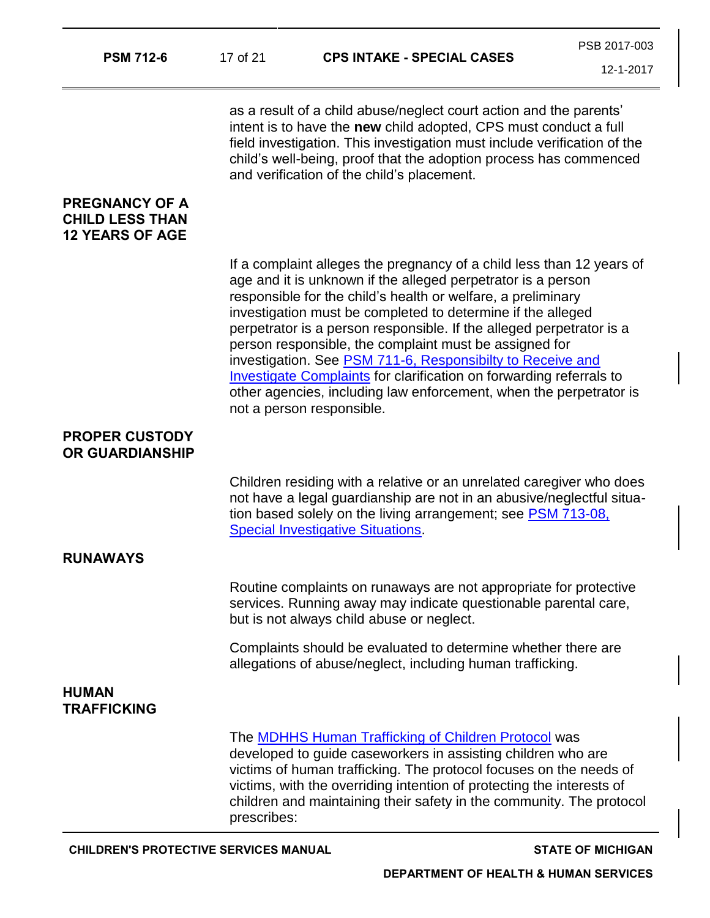| <b>PSM 712-6</b>                                                          | 17 of 21    | <b>CPS INTAKE - SPECIAL CASES</b>                                                                                                                                                                                                                                                                                                                                                                                                                                                                                                                                                                                                                     | PSB 2017-003 |
|---------------------------------------------------------------------------|-------------|-------------------------------------------------------------------------------------------------------------------------------------------------------------------------------------------------------------------------------------------------------------------------------------------------------------------------------------------------------------------------------------------------------------------------------------------------------------------------------------------------------------------------------------------------------------------------------------------------------------------------------------------------------|--------------|
|                                                                           |             |                                                                                                                                                                                                                                                                                                                                                                                                                                                                                                                                                                                                                                                       | 12-1-2017    |
|                                                                           |             | as a result of a child abuse/neglect court action and the parents'<br>intent is to have the new child adopted, CPS must conduct a full<br>field investigation. This investigation must include verification of the<br>child's well-being, proof that the adoption process has commenced<br>and verification of the child's placement.                                                                                                                                                                                                                                                                                                                 |              |
| <b>PREGNANCY OF A</b><br><b>CHILD LESS THAN</b><br><b>12 YEARS OF AGE</b> |             |                                                                                                                                                                                                                                                                                                                                                                                                                                                                                                                                                                                                                                                       |              |
|                                                                           |             | If a complaint alleges the pregnancy of a child less than 12 years of<br>age and it is unknown if the alleged perpetrator is a person<br>responsible for the child's health or welfare, a preliminary<br>investigation must be completed to determine if the alleged<br>perpetrator is a person responsible. If the alleged perpetrator is a<br>person responsible, the complaint must be assigned for<br>investigation. See PSM 711-6, Responsibilty to Receive and<br><b>Investigate Complaints</b> for clarification on forwarding referrals to<br>other agencies, including law enforcement, when the perpetrator is<br>not a person responsible. |              |
| <b>PROPER CUSTODY</b><br>OR GUARDIANSHIP                                  |             |                                                                                                                                                                                                                                                                                                                                                                                                                                                                                                                                                                                                                                                       |              |
|                                                                           |             | Children residing with a relative or an unrelated caregiver who does<br>not have a legal guardianship are not in an abusive/neglectful situa-<br>tion based solely on the living arrangement; see <b>PSM 713-08</b> ,<br><b>Special Investigative Situations.</b>                                                                                                                                                                                                                                                                                                                                                                                     |              |
| <b>RUNAWAYS</b>                                                           |             |                                                                                                                                                                                                                                                                                                                                                                                                                                                                                                                                                                                                                                                       |              |
|                                                                           |             | Routine complaints on runaways are not appropriate for protective<br>services. Running away may indicate questionable parental care,<br>but is not always child abuse or neglect.                                                                                                                                                                                                                                                                                                                                                                                                                                                                     |              |
|                                                                           |             | Complaints should be evaluated to determine whether there are<br>allegations of abuse/neglect, including human trafficking.                                                                                                                                                                                                                                                                                                                                                                                                                                                                                                                           |              |
| <b>HUMAN</b><br><b>TRAFFICKING</b>                                        |             |                                                                                                                                                                                                                                                                                                                                                                                                                                                                                                                                                                                                                                                       |              |
|                                                                           | prescribes: | The <b>MDHHS Human Trafficking of Children Protocol</b> was<br>developed to guide caseworkers in assisting children who are<br>victims of human trafficking. The protocol focuses on the needs of<br>victims, with the overriding intention of protecting the interests of<br>children and maintaining their safety in the community. The protocol                                                                                                                                                                                                                                                                                                    |              |
|                                                                           |             |                                                                                                                                                                                                                                                                                                                                                                                                                                                                                                                                                                                                                                                       |              |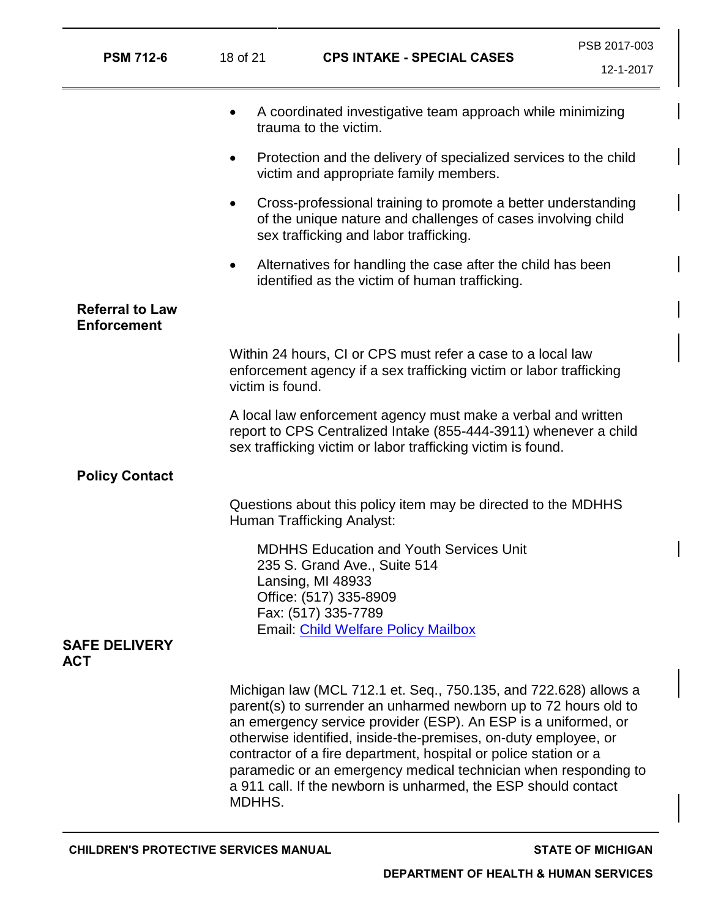| <b>PSM 712-6</b>                             | 18 of 21                                                                                                                                                                                          | <b>CPS INTAKE - SPECIAL CASES</b>                                                                                                                                                                                                                                                                                                                                                                                                                                                  | PSB 2017-003<br>12-1-2017 |
|----------------------------------------------|---------------------------------------------------------------------------------------------------------------------------------------------------------------------------------------------------|------------------------------------------------------------------------------------------------------------------------------------------------------------------------------------------------------------------------------------------------------------------------------------------------------------------------------------------------------------------------------------------------------------------------------------------------------------------------------------|---------------------------|
|                                              | $\bullet$                                                                                                                                                                                         | A coordinated investigative team approach while minimizing<br>trauma to the victim.                                                                                                                                                                                                                                                                                                                                                                                                |                           |
|                                              | $\bullet$                                                                                                                                                                                         | Protection and the delivery of specialized services to the child<br>victim and appropriate family members.                                                                                                                                                                                                                                                                                                                                                                         |                           |
|                                              | $\bullet$                                                                                                                                                                                         | Cross-professional training to promote a better understanding<br>of the unique nature and challenges of cases involving child<br>sex trafficking and labor trafficking.                                                                                                                                                                                                                                                                                                            |                           |
|                                              | $\bullet$                                                                                                                                                                                         | Alternatives for handling the case after the child has been<br>identified as the victim of human trafficking.                                                                                                                                                                                                                                                                                                                                                                      |                           |
| <b>Referral to Law</b><br><b>Enforcement</b> |                                                                                                                                                                                                   |                                                                                                                                                                                                                                                                                                                                                                                                                                                                                    |                           |
|                                              | Within 24 hours, CI or CPS must refer a case to a local law<br>enforcement agency if a sex trafficking victim or labor trafficking<br>victim is found.                                            |                                                                                                                                                                                                                                                                                                                                                                                                                                                                                    |                           |
|                                              | A local law enforcement agency must make a verbal and written<br>report to CPS Centralized Intake (855-444-3911) whenever a child<br>sex trafficking victim or labor trafficking victim is found. |                                                                                                                                                                                                                                                                                                                                                                                                                                                                                    |                           |
| <b>Policy Contact</b>                        |                                                                                                                                                                                                   |                                                                                                                                                                                                                                                                                                                                                                                                                                                                                    |                           |
|                                              | Questions about this policy item may be directed to the MDHHS<br>Human Trafficking Analyst:                                                                                                       |                                                                                                                                                                                                                                                                                                                                                                                                                                                                                    |                           |
| <b>SAFE DELIVERY</b>                         |                                                                                                                                                                                                   | <b>MDHHS Education and Youth Services Unit</b><br>235 S. Grand Ave., Suite 514<br>Lansing, MI 48933<br>Office: (517) 335-8909<br>Fax: (517) 335-7789<br><b>Email: Child Welfare Policy Mailbox</b>                                                                                                                                                                                                                                                                                 |                           |
| <b>ACT</b>                                   |                                                                                                                                                                                                   |                                                                                                                                                                                                                                                                                                                                                                                                                                                                                    |                           |
|                                              | MDHHS.                                                                                                                                                                                            | Michigan law (MCL 712.1 et. Seq., 750.135, and 722.628) allows a<br>parent(s) to surrender an unharmed newborn up to 72 hours old to<br>an emergency service provider (ESP). An ESP is a uniformed, or<br>otherwise identified, inside-the-premises, on-duty employee, or<br>contractor of a fire department, hospital or police station or a<br>paramedic or an emergency medical technician when responding to<br>a 911 call. If the newborn is unharmed, the ESP should contact |                           |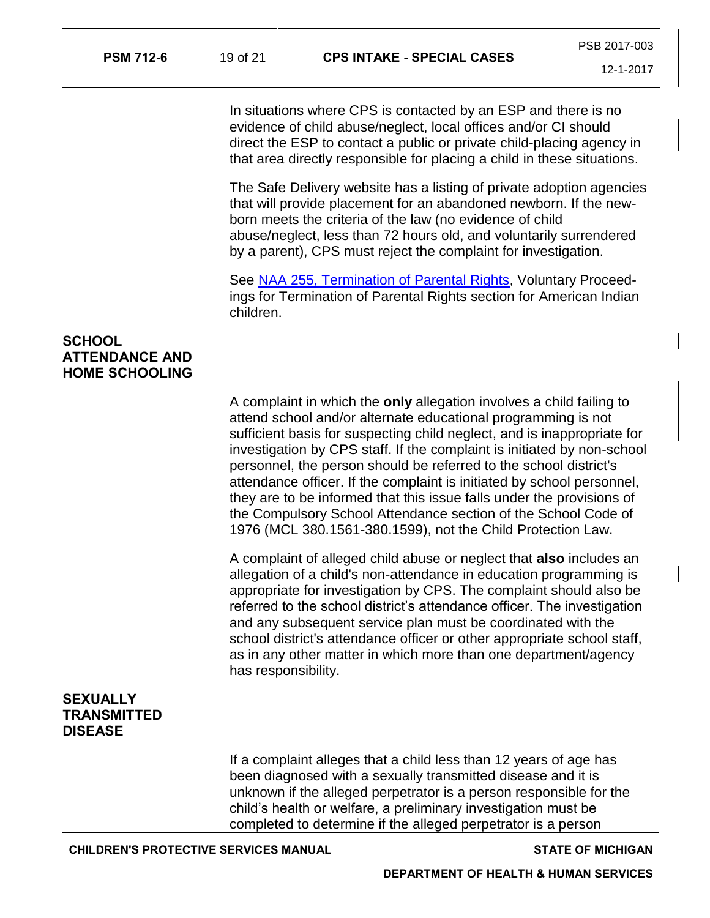In situations where CPS is contacted by an ESP and there is no evidence of child abuse/neglect, local offices and/or CI should direct the ESP to contact a public or private child-placing agency in that area directly responsible for placing a child in these situations.

The Safe Delivery website has a listing of private adoption agencies that will provide placement for an abandoned newborn. If the newborn meets the criteria of the law (no evidence of child abuse/neglect, less than 72 hours old, and voluntarily surrendered by a parent), CPS must reject the complaint for investigation.

See [NAA 255, Termination of Parental Rights,](https://dhhs.michigan.gov/OLMWEB/EX/NA/Public/NAA/255.pdf#pagemode=bookmarks) Voluntary Proceedings for Termination of Parental Rights section for American Indian children.

# **SCHOOL ATTENDANCE AND HOME SCHOOLING**

A complaint in which the **only** allegation involves a child failing to attend school and/or alternate educational programming is not sufficient basis for suspecting child neglect, and is inappropriate for investigation by CPS staff. If the complaint is initiated by non-school personnel, the person should be referred to the school district's attendance officer. If the complaint is initiated by school personnel, they are to be informed that this issue falls under the provisions of the Compulsory School Attendance section of the School Code of 1976 (MCL 380.1561-380.1599), not the Child Protection Law.

A complaint of alleged child abuse or neglect that **also** includes an allegation of a child's non-attendance in education programming is appropriate for investigation by CPS. The complaint should also be referred to the school district's attendance officer. The investigation and any subsequent service plan must be coordinated with the school district's attendance officer or other appropriate school staff, as in any other matter in which more than one department/agency has responsibility.

# **SEXUALLY TRANSMITTED DISEASE**

If a complaint alleges that a child less than 12 years of age has been diagnosed with a sexually transmitted disease and it is unknown if the alleged perpetrator is a person responsible for the child's health or welfare, a preliminary investigation must be completed to determine if the alleged perpetrator is a person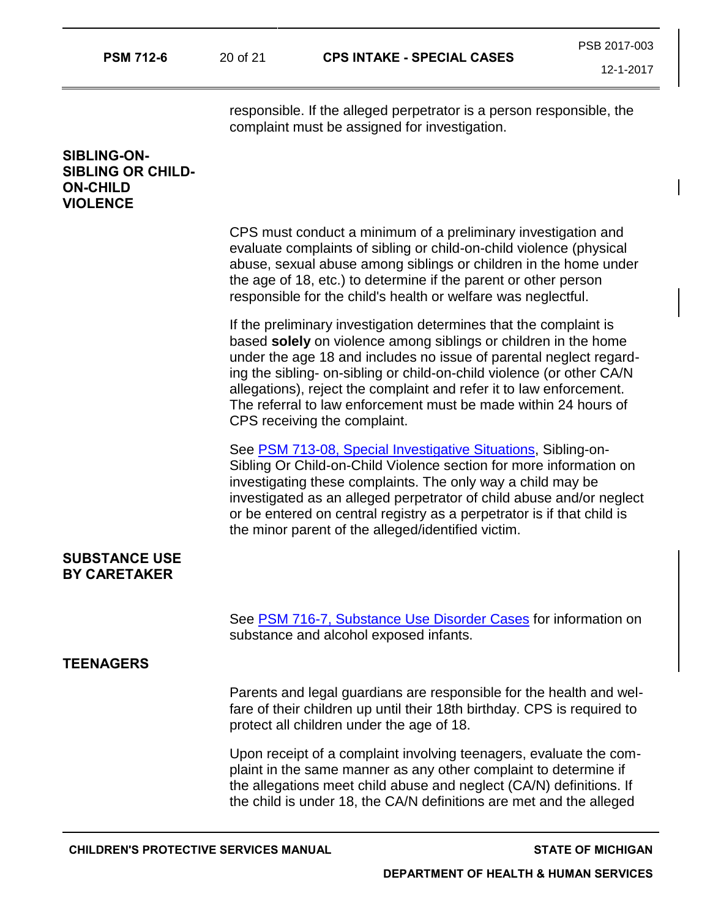responsible. If the alleged perpetrator is a person responsible, the complaint must be assigned for investigation.

# **SIBLING-ON-SIBLING OR CHILD-ON-CHILD VIOLENCE**

CPS must conduct a minimum of a preliminary investigation and evaluate complaints of sibling or child-on-child violence (physical abuse, sexual abuse among siblings or children in the home under the age of 18, etc.) to determine if the parent or other person responsible for the child's health or welfare was neglectful.

If the preliminary investigation determines that the complaint is based **solely** on violence among siblings or children in the home under the age 18 and includes no issue of parental neglect regarding the sibling- on-sibling or child-on-child violence (or other CA/N allegations), reject the complaint and refer it to law enforcement. The referral to law enforcement must be made within 24 hours of CPS receiving the complaint.

See [PSM 713-08, Special Investigative Situations,](https://dhhs.michigan.gov/OLMWEB/EX/PS/Public/PSM/713-08.pdf#pagemode=bookmarks) Sibling-on-Sibling Or Child-on-Child Violence section for more information on investigating these complaints. The only way a child may be investigated as an alleged perpetrator of child abuse and/or neglect or be entered on central registry as a perpetrator is if that child is the minor parent of the alleged/identified victim.

#### **SUBSTANCE USE BY CARETAKER**

See [PSM 716-7, Substance Use Disorder Cases](https://dhhs.michigan.gov/OLMWEB/EX/PS/Public/PSM/716-7.pdf#pagemode=bookmarks) for information on substance and alcohol exposed infants.

### **TEENAGERS**

Parents and legal guardians are responsible for the health and welfare of their children up until their 18th birthday. CPS is required to protect all children under the age of 18.

Upon receipt of a complaint involving teenagers, evaluate the complaint in the same manner as any other complaint to determine if the allegations meet child abuse and neglect (CA/N) definitions. If the child is under 18, the CA/N definitions are met and the alleged